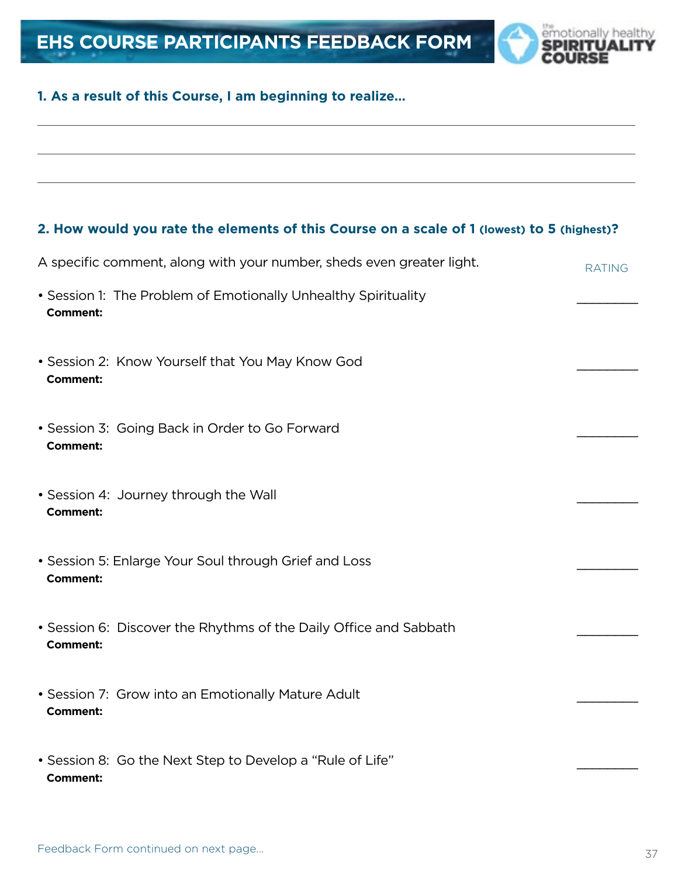

# **1. As a result of this Course, I am beginning to realize…**

# **2. How would you rate the elements of this Course on a scale of 1 (lowest) to 5 (highest)?**

| A specific comment, along with your number, sheds even greater light.                | <b>RATING</b> |
|--------------------------------------------------------------------------------------|---------------|
| • Session 1: The Problem of Emotionally Unhealthy Spirituality<br><b>Comment:</b>    |               |
| • Session 2: Know Yourself that You May Know God<br><b>Comment:</b>                  |               |
| • Session 3: Going Back in Order to Go Forward<br><b>Comment:</b>                    |               |
| • Session 4: Journey through the Wall<br><b>Comment:</b>                             |               |
| • Session 5: Enlarge Your Soul through Grief and Loss<br><b>Comment:</b>             |               |
| • Session 6: Discover the Rhythms of the Daily Office and Sabbath<br><b>Comment:</b> |               |
| • Session 7: Grow into an Emotionally Mature Adult<br><b>Comment:</b>                |               |
| • Session 8: Go the Next Step to Develop a "Rule of Life"<br><b>Comment:</b>         |               |